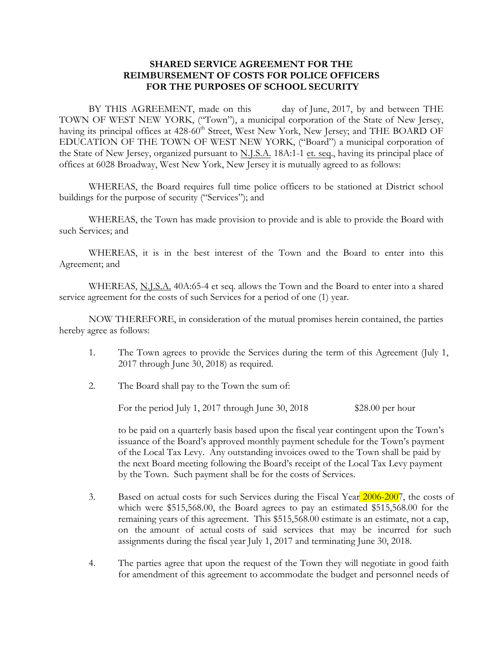## **SHARED SERVICE AGREEMENT FOR THE REIMBURSEMENT OF COSTS FOR POLICE OFFICERS FOR THE PURPOSES OF SCHOOL SECURITY**

BY THIS AGREEMENT, made on this day of June, 2017, by and between THE TOWN OF WEST NEW YORK, ("Town"), a municipal corporation of the State of New Jersey, having its principal offices at 428-60<sup>th</sup> Street, West New York, New Jersey; and THE BOARD OF EDUCATION OF THE TOWN OF WEST NEW YORK, ("Board") a municipal corporation of the State of New Jersey, organized pursuant to N.J.S.A. 18A:1-1 et. seq., having its principal place of offices at 6028 Broadway, West New York, New Jersey it is mutually agreed to as follows:

WHEREAS, the Board requires full time police officers to be stationed at District school buildings for the purpose of security ("Services"); and

WHEREAS, the Town has made provision to provide and is able to provide the Board with such Services; and

WHEREAS, it is in the best interest of the Town and the Board to enter into this Agreement; and

WHEREAS, N.J.S.A. 40A:65-4 et seq. allows the Town and the Board to enter into a shared service agreement for the costs of such Services for a period of one (1) year.

NOW THEREFORE, in consideration of the mutual promises herein contained, the parties hereby agree as follows:

- 1. The Town agrees to provide the Services during the term of this Agreement (July 1, 2017 through June 30, 2018) as required.
- 2. The Board shall pay to the Town the sum of:

For the period July 1, 2017 through June 30, 2018 \$28.00 per hour

to be paid on a quarterly basis based upon the fiscal year contingent upon the Town's issuance of the Board's approved monthly payment schedule for the Town's payment of the Local Tax Levy. Any outstanding invoices owed to the Town shall be paid by the next Board meeting following the Board's receipt of the Local Tax Levy payment by the Town. Such payment shall be for the costs of Services.

- 3. Based on actual costs for such Services during the Fiscal Year 2006-2007, the costs of which were \$515,568.00, the Board agrees to pay an estimated \$515,568.00 for the remaining years of this agreement. This \$515,568.00 estimate is an estimate, not a cap, on the amount of actual costs of said services that may be incurred for such assignments during the fiscal year July 1, 2017 and terminating June 30, 2018.
- 4. The parties agree that upon the request of the Town they will negotiate in good faith for amendment of this agreement to accommodate the budget and personnel needs of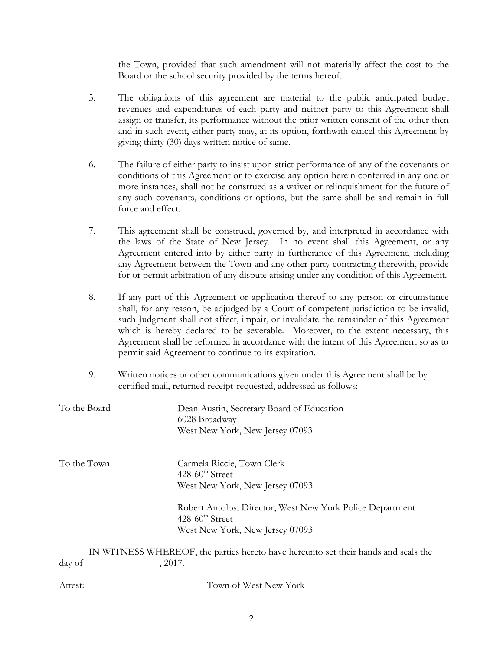the Town, provided that such amendment will not materially affect the cost to the Board or the school security provided by the terms hereof.

- 5. The obligations of this agreement are material to the public anticipated budget revenues and expenditures of each party and neither party to this Agreement shall assign or transfer, its performance without the prior written consent of the other then and in such event, either party may, at its option, forthwith cancel this Agreement by giving thirty (30) days written notice of same.
- 6. The failure of either party to insist upon strict performance of any of the covenants or conditions of this Agreement or to exercise any option herein conferred in any one or more instances, shall not be construed as a waiver or relinquishment for the future of any such covenants, conditions or options, but the same shall be and remain in full force and effect.
- 7. This agreement shall be construed, governed by, and interpreted in accordance with the laws of the State of New Jersey. In no event shall this Agreement, or any Agreement entered into by either party in furtherance of this Agreement, including any Agreement between the Town and any other party contracting therewith, provide for or permit arbitration of any dispute arising under any condition of this Agreement.
- 8. If any part of this Agreement or application thereof to any person or circumstance shall, for any reason, be adjudged by a Court of competent jurisdiction to be invalid, such Judgment shall not affect, impair, or invalidate the remainder of this Agreement which is hereby declared to be severable. Moreover, to the extent necessary, this Agreement shall be reformed in accordance with the intent of this Agreement so as to permit said Agreement to continue to its expiration.
- 9. Written notices or other communications given under this Agreement shall be by certified mail, returned receipt requested, addressed as follows:

| To the Board | Dean Austin, Secretary Board of Education<br>6028 Broadway<br>West New York, New Jersey 07093 |
|--------------|-----------------------------------------------------------------------------------------------|
| To the Town  | Carmela Riccie, Town Clerk<br>$428-60^{\text{th}}$ Street                                     |
|              | West New York, New Jersey 07093                                                               |
|              | Robert Antolos, Director, West New York Police Department<br>$428-60^{\text{th}}$ Street      |
|              | West New York, New Jersey 07093                                                               |
|              | IN WITNESS WHEREOF, the parties hereto have hereunto set their hands and seals the            |
| day of       | , 2017.                                                                                       |

| Attest: | Town of West New York |
|---------|-----------------------|
|         |                       |